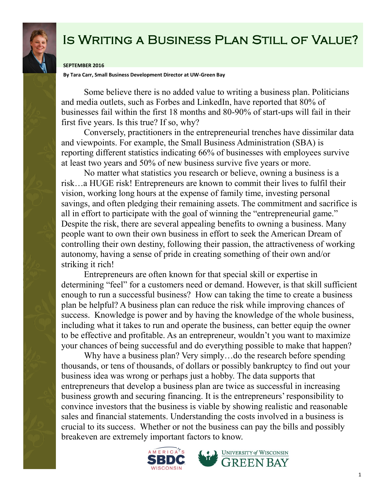

## Is Writing a Business Plan Still of Value?

## **SEPTEMBER 2016**

**By Tara Carr, Small Business Development Director at UW-Green Bay**

Some believe there is no added value to writing a business plan. Politicians and media outlets, such as Forbes and LinkedIn, have reported that 80% of businesses fail within the first 18 months and 80-90% of start-ups will fail in their first five years. Is this true? If so, why?

Conversely, practitioners in the entrepreneurial trenches have dissimilar data and viewpoints. For example, the Small Business Administration (SBA) is reporting different statistics indicating 66% of businesses with employees survive at least two years and 50% of new business survive five years or more.

No matter what statistics you research or believe, owning a business is a risk…a HUGE risk! Entrepreneurs are known to commit their lives to fulfil their vision, working long hours at the expense of family time, investing personal savings, and often pledging their remaining assets. The commitment and sacrifice is all in effort to participate with the goal of winning the "entrepreneurial game." Despite the risk, there are several appealing benefits to owning a business. Many people want to own their own business in effort to seek the American Dream of controlling their own destiny, following their passion, the attractiveness of working autonomy, having a sense of pride in creating something of their own and/or striking it rich!

Entrepreneurs are often known for that special skill or expertise in determining "feel" for a customers need or demand. However, is that skill sufficient enough to run a successful business? How can taking the time to create a business plan be helpful? A business plan can reduce the risk while improving chances of success. Knowledge is power and by having the knowledge of the whole business, including what it takes to run and operate the business, can better equip the owner to be effective and profitable. As an entrepreneur, wouldn't you want to maximize your chances of being successful and do everything possible to make that happen?

Why have a business plan? Very simply...do the research before spending thousands, or tens of thousands, of dollars or possibly bankruptcy to find out your business idea was wrong or perhaps just a hobby. The data supports that entrepreneurs that develop a business plan are twice as successful in increasing business growth and securing financing. It is the entrepreneurs' responsibility to convince investors that the business is viable by showing realistic and reasonable sales and financial statements. Understanding the costs involved in a business is crucial to its success. Whether or not the business can pay the bills and possibly breakeven are extremely important factors to know.